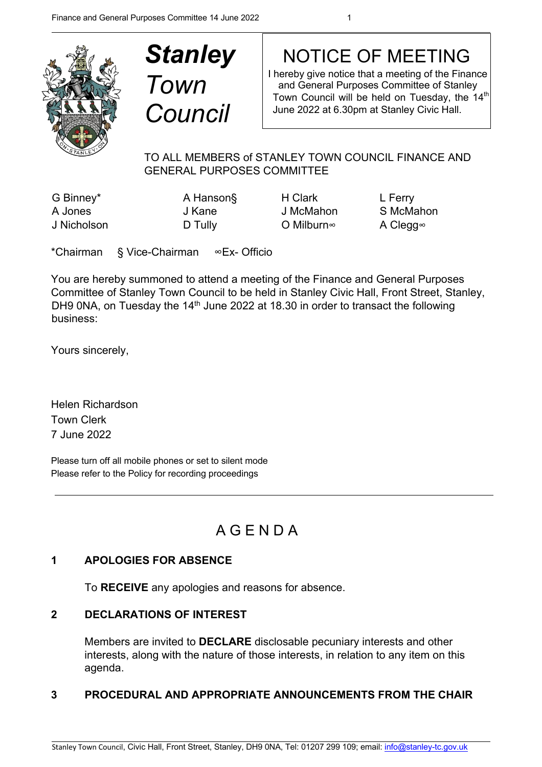

| <b>Stanley</b> |  |
|----------------|--|
| Town           |  |
| <b>Council</b> |  |

# NOTICE OF MEETING

I hereby give notice that a meeting of the Finance and General Purposes Committee of Stanley Town Council will be held on Tuesday, the 14<sup>th</sup> June 2022 at 6.30pm at Stanley Civic Hall.

## TO ALL MEMBERS of STANLEY TOWN COUNCIL FINANCE AND GENERAL PURPOSES COMMITTEE

G Binney\* **A Hanson**§ H Clark L Ferry J Nicholson D Tully O Milburn∞ A Clegg∞

A Jones J Kane J McMahon S McMahon

\*Chairman § Vice-Chairman ∞Ex- Officio

You are hereby summoned to attend a meeting of the Finance and General Purposes Committee of Stanley Town Council to be held in Stanley Civic Hall, Front Street, Stanley, DH9 0NA, on Tuesday the 14<sup>th</sup> June 2022 at 18.30 in order to transact the following business:

Yours sincerely,

Helen Richardson Town Clerk 7 June 2022

Please turn off all mobile phones or set to silent mode Please refer to the Policy for recording proceedings

# A G E N D A

## **1 APOLOGIES FOR ABSENCE**

To **RECEIVE** any apologies and reasons for absence.

#### **2 DECLARATIONS OF INTEREST**

Members are invited to **DECLARE** disclosable pecuniary interests and other interests, along with the nature of those interests, in relation to any item on this agenda.

## **3 PROCEDURAL AND APPROPRIATE ANNOUNCEMENTS FROM THE CHAIR**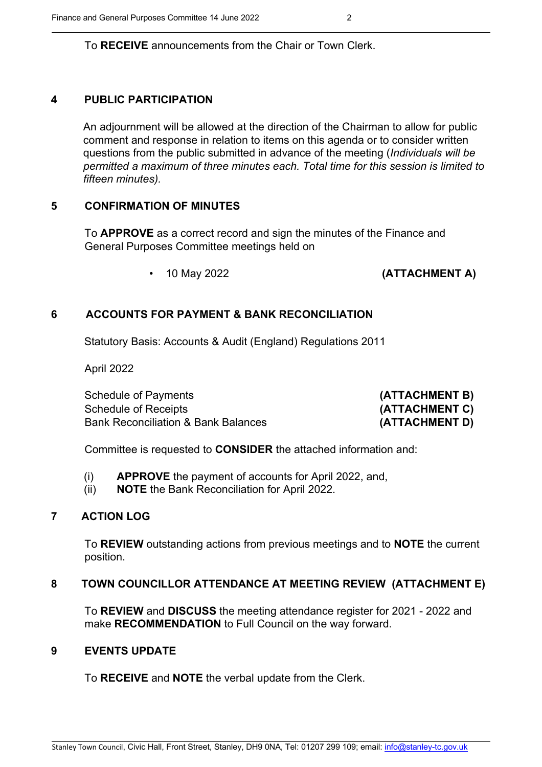To **RECEIVE** announcements from the Chair or Town Clerk.

## **4 PUBLIC PARTICIPATION**

An adjournment will be allowed at the direction of the Chairman to allow for public comment and response in relation to items on this agenda or to consider written questions from the public submitted in advance of the meeting (*Individuals will be permitted a maximum of three minutes each. Total time for this session is limited to fifteen minutes).*

## **5 CONFIRMATION OF MINUTES**

To **APPROVE** as a correct record and sign the minutes of the Finance and General Purposes Committee meetings held on

• 10 May 2022 **(ATTACHMENT A)**

## **6 ACCOUNTS FOR PAYMENT & BANK RECONCILIATION**

Statutory Basis: Accounts & Audit (England) Regulations 2011

April 2022

Schedule of Payments **(ATTACHMENT B)** Schedule of Receipts **(ATTACHMENT C)** Bank Reconciliation & Bank Balances **(ATTACHMENT D)** 

Committee is requested to **CONSIDER** the attached information and:

- (i) **APPROVE** the payment of accounts for April 2022, and,
- (ii) **NOTE** the Bank Reconciliation for April 2022.

## **7 ACTION LOG**

To **REVIEW** outstanding actions from previous meetings and to **NOTE** the current position.

## **8 TOWN COUNCILLOR ATTENDANCE AT MEETING REVIEW (ATTACHMENT E)**

To **REVIEW** and **DISCUSS** the meeting attendance register for 2021 - 2022 and make **RECOMMENDATION** to Full Council on the way forward.

## **9 EVENTS UPDATE**

To **RECEIVE** and **NOTE** the verbal update from the Clerk.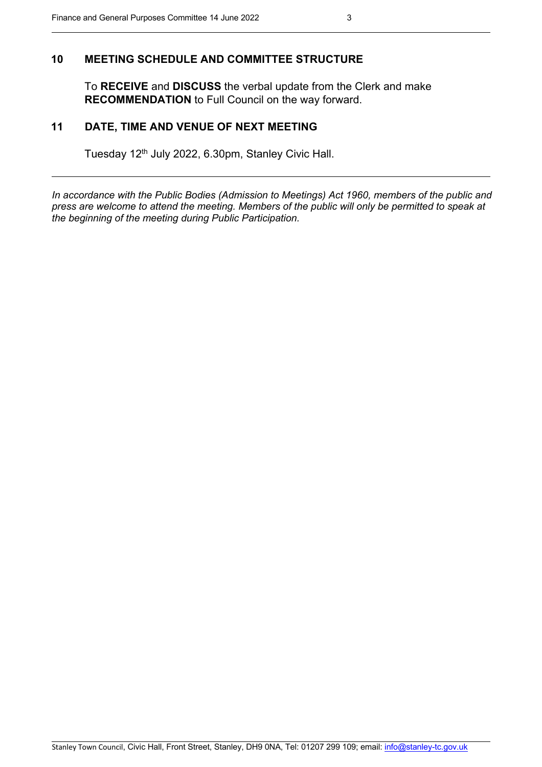#### **10 MEETING SCHEDULE AND COMMITTEE STRUCTURE**

To **RECEIVE** and **DISCUSS** the verbal update from the Clerk and make **RECOMMENDATION** to Full Council on the way forward.

#### **11 DATE, TIME AND VENUE OF NEXT MEETING**

Tuesday 12<sup>th</sup> July 2022, 6.30pm, Stanley Civic Hall.

*In accordance with the Public Bodies (Admission to Meetings) Act 1960, members of the public and press are welcome to attend the meeting. Members of the public will only be permitted to speak at the beginning of the meeting during Public Participation.*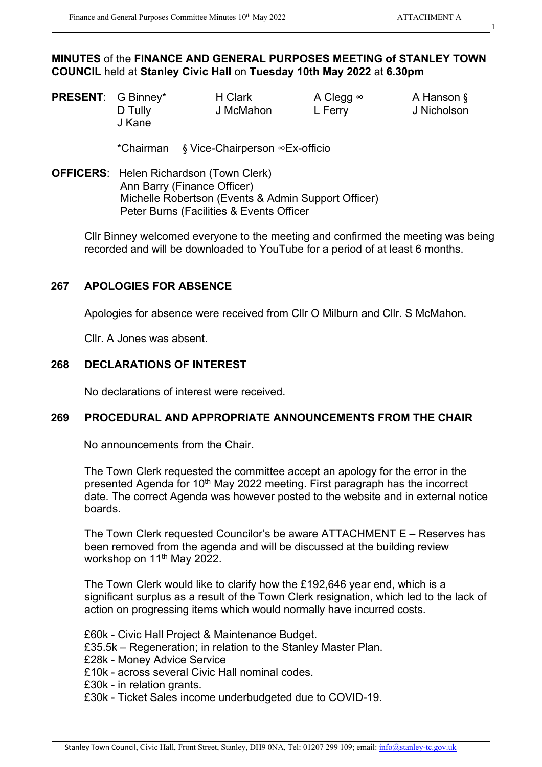1

#### **MINUTES** of the **FINANCE AND GENERAL PURPOSES MEETING of STANLEY TOWN COUNCIL** held at **Stanley Civic Hall** on **Tuesday 10th May 2022** at **6.30pm**

| <b>PRESENT:</b> G Binney* |         | H Clark   | A Clegg ∞ | A Hanson §  |
|---------------------------|---------|-----------|-----------|-------------|
|                           | D Tully | J McMahon | L Ferry   | J Nicholson |
|                           | J Kane  |           |           |             |

\*Chairman § Vice-Chairperson ∞Ex-officio

**OFFICERS**: Helen Richardson (Town Clerk) Ann Barry (Finance Officer) Michelle Robertson (Events & Admin Support Officer) Peter Burns (Facilities & Events Officer

Cllr Binney welcomed everyone to the meeting and confirmed the meeting was being recorded and will be downloaded to YouTube for a period of at least 6 months.

#### **267 APOLOGIES FOR ABSENCE**

Apologies for absence were received from Cllr O Milburn and Cllr. S McMahon.

Cllr. A Jones was absent.

#### **268 DECLARATIONS OF INTEREST**

No declarations of interest were received.

#### **269 PROCEDURAL AND APPROPRIATE ANNOUNCEMENTS FROM THE CHAIR**

No announcements from the Chair.

The Town Clerk requested the committee accept an apology for the error in the presented Agenda for 10<sup>th</sup> May 2022 meeting. First paragraph has the incorrect date. The correct Agenda was however posted to the website and in external notice boards.

The Town Clerk requested Councilor's be aware ATTACHMENT E – Reserves has been removed from the agenda and will be discussed at the building review workshop on 11<sup>th</sup> May 2022.

The Town Clerk would like to clarify how the £192,646 year end, which is a significant surplus as a result of the Town Clerk resignation, which led to the lack of action on progressing items which would normally have incurred costs.

£60k - Civic Hall Project & Maintenance Budget. £35.5k – Regeneration; in relation to the Stanley Master Plan. £28k - Money Advice Service £10k - across several Civic Hall nominal codes. £30k - in relation grants. £30k - Ticket Sales income underbudgeted due to COVID-19.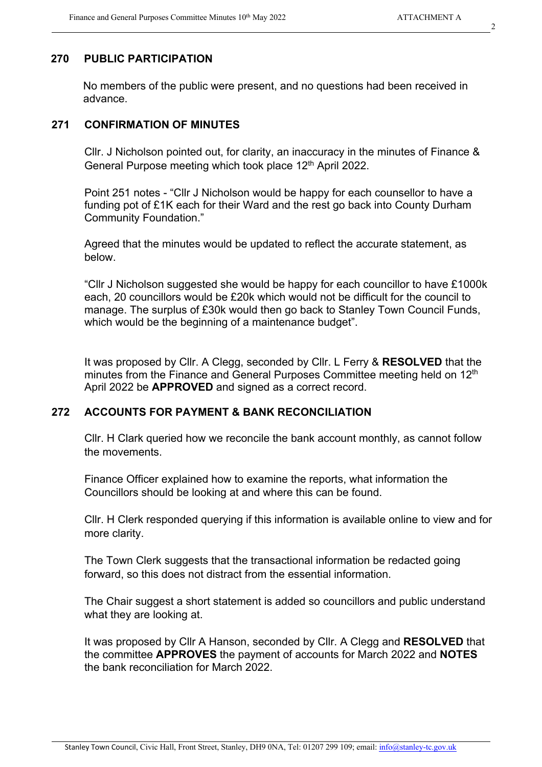## **270 PUBLIC PARTICIPATION**

No members of the public were present, and no questions had been received in advance.

## **271 CONFIRMATION OF MINUTES**

Cllr. J Nicholson pointed out, for clarity, an inaccuracy in the minutes of Finance & General Purpose meeting which took place 12<sup>th</sup> April 2022.

Point 251 notes - "Cllr J Nicholson would be happy for each counsellor to have a funding pot of £1K each for their Ward and the rest go back into County Durham Community Foundation."

Agreed that the minutes would be updated to reflect the accurate statement, as below.

"Cllr J Nicholson suggested she would be happy for each councillor to have £1000k each, 20 councillors would be £20k which would not be difficult for the council to manage. The surplus of £30k would then go back to Stanley Town Council Funds, which would be the beginning of a maintenance budget".

It was proposed by Cllr. A Clegg, seconded by Cllr. L Ferry & **RESOLVED** that the minutes from the Finance and General Purposes Committee meeting held on 12<sup>th</sup> April 2022 be **APPROVED** and signed as a correct record.

## **272 ACCOUNTS FOR PAYMENT & BANK RECONCILIATION**

Cllr. H Clark queried how we reconcile the bank account monthly, as cannot follow the movements.

Finance Officer explained how to examine the reports, what information the Councillors should be looking at and where this can be found.

Cllr. H Clerk responded querying if this information is available online to view and for more clarity.

The Town Clerk suggests that the transactional information be redacted going forward, so this does not distract from the essential information.

The Chair suggest a short statement is added so councillors and public understand what they are looking at.

It was proposed by Cllr A Hanson, seconded by Cllr. A Clegg and **RESOLVED** that the committee **APPROVES** the payment of accounts for March 2022 and **NOTES** the bank reconciliation for March 2022.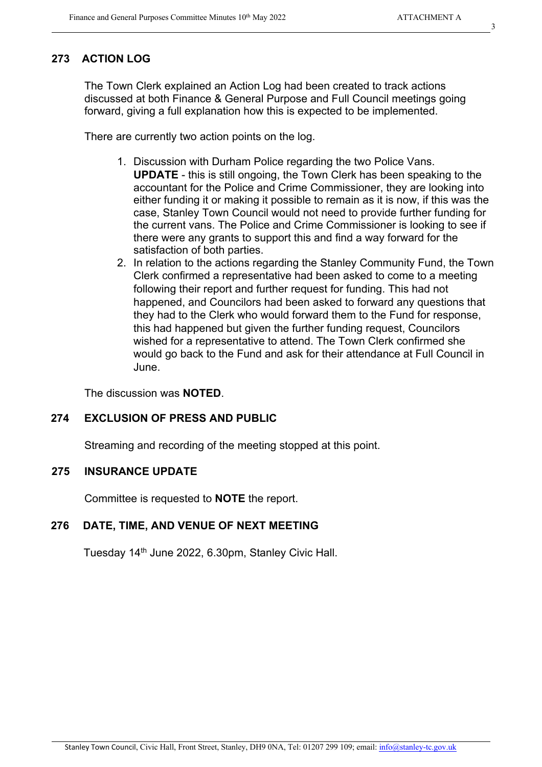## **273 ACTION LOG**

The Town Clerk explained an Action Log had been created to track actions discussed at both Finance & General Purpose and Full Council meetings going forward, giving a full explanation how this is expected to be implemented.

There are currently two action points on the log.

- 1. Discussion with Durham Police regarding the two Police Vans. **UPDATE** - this is still ongoing, the Town Clerk has been speaking to the accountant for the Police and Crime Commissioner, they are looking into either funding it or making it possible to remain as it is now, if this was the case, Stanley Town Council would not need to provide further funding for the current vans. The Police and Crime Commissioner is looking to see if there were any grants to support this and find a way forward for the satisfaction of both parties.
- 2. In relation to the actions regarding the Stanley Community Fund, the Town Clerk confirmed a representative had been asked to come to a meeting following their report and further request for funding. This had not happened, and Councilors had been asked to forward any questions that they had to the Clerk who would forward them to the Fund for response, this had happened but given the further funding request, Councilors wished for a representative to attend. The Town Clerk confirmed she would go back to the Fund and ask for their attendance at Full Council in June.

The discussion was **NOTED**.

## **274 EXCLUSION OF PRESS AND PUBLIC**

Streaming and recording of the meeting stopped at this point.

## **275 INSURANCE UPDATE**

Committee is requested to **NOTE** the report.

## **276 DATE, TIME, AND VENUE OF NEXT MEETING**

Tuesday 14th June 2022, 6.30pm, Stanley Civic Hall.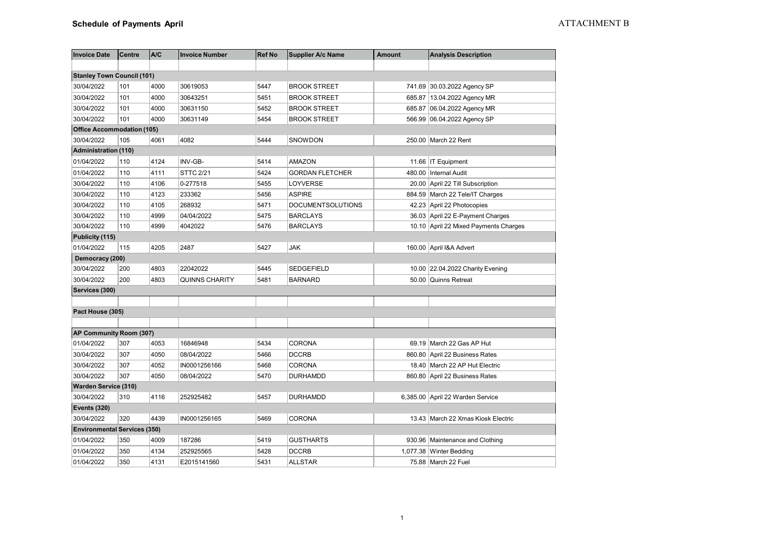| <b>Invoice Date</b>                 | <b>Centre</b> | A/C  | <b>Invoice Number</b> | <b>Ref No</b> | <b>Supplier A/c Name</b> | <b>Amount</b> | <b>Analysis Description</b>           |
|-------------------------------------|---------------|------|-----------------------|---------------|--------------------------|---------------|---------------------------------------|
|                                     |               |      |                       |               |                          |               |                                       |
| <b>Stanley Town Council (101)</b>   |               |      |                       |               |                          |               |                                       |
| 30/04/2022                          | 101           | 4000 | 30619053              | 5447          | <b>BROOK STREET</b>      |               | 741.69 30.03.2022 Agency SP           |
| 30/04/2022                          | 101           | 4000 | 30643251              | 5451          | <b>BROOK STREET</b>      |               | 685.87   13.04.2022 Agency MR         |
| 30/04/2022                          | 101           | 4000 | 30631150              | 5452          | <b>BROOK STREET</b>      |               | 685.87 06.04.2022 Agency MR           |
| 30/04/2022                          | 101           | 4000 | 30631149              | 5454          | <b>BROOK STREET</b>      |               | 566.99 06.04.2022 Agency SP           |
| <b>Office Accommodation (105)</b>   |               |      |                       |               |                          |               |                                       |
| 30/04/2022                          | 105           | 4061 | 4082                  | 5444          | SNOWDON                  |               | 250.00 March 22 Rent                  |
| <b>Administration (110)</b>         |               |      |                       |               |                          |               |                                       |
| 01/04/2022                          | 110           | 4124 | INV-GB-               | 5414          | <b>AMAZON</b>            |               | 11.66 IT Equipment                    |
| 01/04/2022                          | 110           | 4111 | <b>STTC 2/21</b>      | 5424          | <b>GORDAN FLETCHER</b>   | 480.00        | Internal Audit                        |
| 30/04/2022                          | 110           | 4106 | 0-277518              | 5455          | LOYVERSE                 |               | 20.00 April 22 Till Subscription      |
| 30/04/2022                          | 110           | 4123 | 233362                | 5456          | <b>ASPIRE</b>            |               | 884.59 March 22 Tele/IT Charges       |
| 30/04/2022                          | 110           | 4105 | 268932                | 5471          | <b>DOCUMENTSOLUTIONS</b> |               | 42.23 April 22 Photocopies            |
| 30/04/2022                          | 110           | 4999 | 04/04/2022            | 5475          | <b>BARCLAYS</b>          |               | 36.03 April 22 E-Payment Charges      |
| 30/04/2022                          | 110           | 4999 | 4042022               | 5476          | <b>BARCLAYS</b>          |               | 10.10 April 22 Mixed Payments Charges |
| Publicity (115)                     |               |      |                       |               |                          |               |                                       |
| 01/04/2022                          | 115           | 4205 | 2487                  | 5427          | <b>JAK</b>               |               | 160.00 April I&A Advert               |
| Democracy (200)                     |               |      |                       |               |                          |               |                                       |
| 30/04/2022                          | 200           | 4803 | 22042022              | 5445          | <b>SEDGEFIELD</b>        |               | 10.00 22.04.2022 Charity Evening      |
| 30/04/2022                          | 200           | 4803 | <b>QUINNS CHARITY</b> | 5481          | <b>BARNARD</b>           |               | 50.00 Quinns Retreat                  |
| Services (300)                      |               |      |                       |               |                          |               |                                       |
|                                     |               |      |                       |               |                          |               |                                       |
| Pact House (305)                    |               |      |                       |               |                          |               |                                       |
|                                     |               |      |                       |               |                          |               |                                       |
| AP Community Room (307)             |               |      |                       |               |                          |               |                                       |
| 01/04/2022                          | 307           | 4053 | 16846948              | 5434          | CORONA                   |               | 69.19 March 22 Gas AP Hut             |
| 30/04/2022                          | 307           | 4050 | 08/04/2022            | 5466          | <b>DCCRB</b>             |               | 860.80 April 22 Business Rates        |
| 30/04/2022                          | 307           | 4052 | IN0001256166          | 5468          | <b>CORONA</b>            |               | 18.40 March 22 AP Hut Electric        |
| 30/04/2022                          | 307           | 4050 | 08/04/2022            | 5470          | <b>DURHAMDD</b>          |               | 860.80 April 22 Business Rates        |
| <b>Warden Service (310)</b>         |               |      |                       |               |                          |               |                                       |
| 30/04/2022                          | 310           | 4116 | 252925482             | 5457          | <b>DURHAMDD</b>          |               | 6,385.00 April 22 Warden Service      |
| <b>Events (320)</b>                 |               |      |                       |               |                          |               |                                       |
| 30/04/2022                          | 320           | 4439 | IN0001256165          | 5469          | CORONA                   |               | 13.43 March 22 Xmas Kiosk Electric    |
| <b>Environmental Services (350)</b> |               |      |                       |               |                          |               |                                       |
| 01/04/2022                          | 350           | 4009 | 187286                | 5419          | <b>GUSTHARTS</b>         |               | 930.96 Maintenance and Clothing       |
| 01/04/2022                          | 350           | 4134 | 252925565             | 5428          | <b>DCCRB</b>             |               | 1,077.38 Winter Bedding               |
| 01/04/2022                          | 350           | 4131 | E2015141560           | 5431          | <b>ALLSTAR</b>           |               | 75.88   March 22 Fuel                 |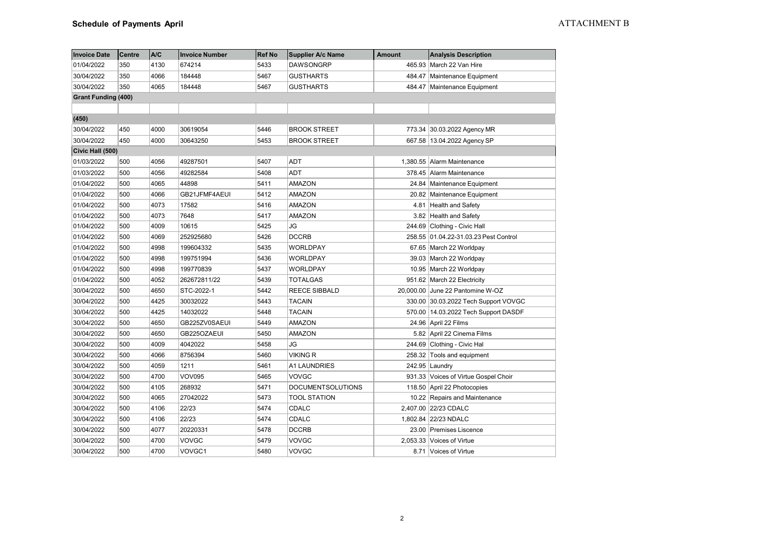| <b>Invoice Date</b>        | <b>Centre</b> | A/C  | <b>Invoice Number</b> | <b>Ref No</b> | <b>Supplier A/c Name</b> | <b>Amount</b> | <b>Analysis Description</b>           |
|----------------------------|---------------|------|-----------------------|---------------|--------------------------|---------------|---------------------------------------|
| 01/04/2022                 | 350           | 4130 | 674214                | 5433          | <b>DAWSONGRP</b>         |               | 465.93 March 22 Van Hire              |
| 30/04/2022                 | 350           | 4066 | 184448                | 5467          | <b>GUSTHARTS</b>         |               | 484.47 Maintenance Equipment          |
| 30/04/2022                 | 350           | 4065 | 184448                | 5467          | <b>GUSTHARTS</b>         |               | 484.47 Maintenance Equipment          |
| <b>Grant Funding (400)</b> |               |      |                       |               |                          |               |                                       |
|                            |               |      |                       |               |                          |               |                                       |
| (450)                      |               |      |                       |               |                          |               |                                       |
| 30/04/2022                 | 450           | 4000 | 30619054              | 5446          | <b>BROOK STREET</b>      |               | 773.34 30.03.2022 Agency MR           |
| 30/04/2022                 | 450           | 4000 | 30643250              | 5453          | <b>BROOK STREET</b>      |               | 667.58 13.04.2022 Agency SP           |
| Civic Hall (500)           |               |      |                       |               |                          |               |                                       |
| 01/03/2022                 | 500           | 4056 | 49287501              | 5407          | <b>ADT</b>               |               | 1,380.55 Alarm Maintenance            |
| 01/03/2022                 | 500           | 4056 | 49282584              | 5408          | <b>ADT</b>               |               | 378.45 Alarm Maintenance              |
| 01/04/2022                 | 500           | 4065 | 44898                 | 5411          | <b>AMAZON</b>            |               | 24.84 Maintenance Equipment           |
| 01/04/2022                 | 500           | 4066 | GB21JFMF4AEUI         | 5412          | <b>AMAZON</b>            |               | 20.82 Maintenance Equipment           |
| 01/04/2022                 | 500           | 4073 | 17582                 | 5416          | <b>AMAZON</b>            |               | 4.81 Health and Safety                |
| 01/04/2022                 | 500           | 4073 | 7648                  | 5417          | <b>AMAZON</b>            |               | 3.82 Health and Safety                |
| 01/04/2022                 | 500           | 4009 | 10615                 | 5425          | JG                       |               | 244.69 Clothing - Civic Hall          |
| 01/04/2022                 | 500           | 4069 | 252925680             | 5426          | <b>DCCRB</b>             |               | 258.55 01.04.22-31.03.23 Pest Control |
| 01/04/2022                 | 500           | 4998 | 199604332             | 5435          | WORLDPAY                 |               | 67.65 March 22 Worldpay               |
| 01/04/2022                 | 500           | 4998 | 199751994             | 5436          | WORLDPAY                 |               | 39.03 March 22 Worldpay               |
| 01/04/2022                 | 500           | 4998 | 199770839             | 5437          | WORLDPAY                 |               | 10.95 March 22 Worldpay               |
| 01/04/2022                 | 500           | 4052 | 262672811/22          | 5439          | <b>TOTALGAS</b>          |               | 951.62 March 22 Electricity           |
| 30/04/2022                 | 500           | 4650 | STC-2022-1            | 5442          | <b>REECE SIBBALD</b>     |               | 20,000.00 June 22 Pantomine W-OZ      |
| 30/04/2022                 | 500           | 4425 | 30032022              | 5443          | <b>TACAIN</b>            |               | 330.00 30.03.2022 Tech Support VOVGC  |
| 30/04/2022                 | 500           | 4425 | 14032022              | 5448          | <b>TACAIN</b>            |               | 570.00 14.03.2022 Tech Support DASDF  |
| 30/04/2022                 | 500           | 4650 | GB225ZV0SAEUI         | 5449          | <b>AMAZON</b>            |               | 24.96 April 22 Films                  |
| 30/04/2022                 | 500           | 4650 | GB225OZAEUI           | 5450          | AMAZON                   |               | 5.82 April 22 Cinema Films            |
| 30/04/2022                 | 500           | 4009 | 4042022               | 5458          | JG                       |               | 244.69 Clothing - Civic Hal           |
| 30/04/2022                 | 500           | 4066 | 8756394               | 5460          | VIKING R                 |               | 258.32 Tools and equipment            |
| 30/04/2022                 | 500           | 4059 | 1211                  | 5461          | <b>A1 LAUNDRIES</b>      |               | 242.95 Laundry                        |
| 30/04/2022                 | 500           | 4700 | <b>VOV095</b>         | 5465          | <b>VOVGC</b>             |               | 931.33 Voices of Virtue Gospel Choir  |
| 30/04/2022                 | 500           | 4105 | 268932                | 5471          | <b>DOCUMENTSOLUTIONS</b> |               | 118.50 April 22 Photocopies           |
| 30/04/2022                 | 500           | 4065 | 27042022              | 5473          | <b>TOOL STATION</b>      |               | 10.22 Repairs and Maintenance         |
| 30/04/2022                 | 500           | 4106 | 22/23                 | 5474          | CDALC                    |               | 2,407.00 22/23 CDALC                  |
| 30/04/2022                 | 500           | 4106 | 22/23                 | 5474          | CDALC                    |               | 1,802.84 22/23 NDALC                  |
| 30/04/2022                 | 500           | 4077 | 20220331              | 5478          | <b>DCCRB</b>             |               | 23.00 Premises Liscence               |
| 30/04/2022                 | 500           | 4700 | VOVGC                 | 5479          | VOVGC                    |               | 2,053.33 Voices of Virtue             |
| 30/04/2022                 | 500           | 4700 | VOVGC1                | 5480          | VOVGC                    |               | 8.71 Voices of Virtue                 |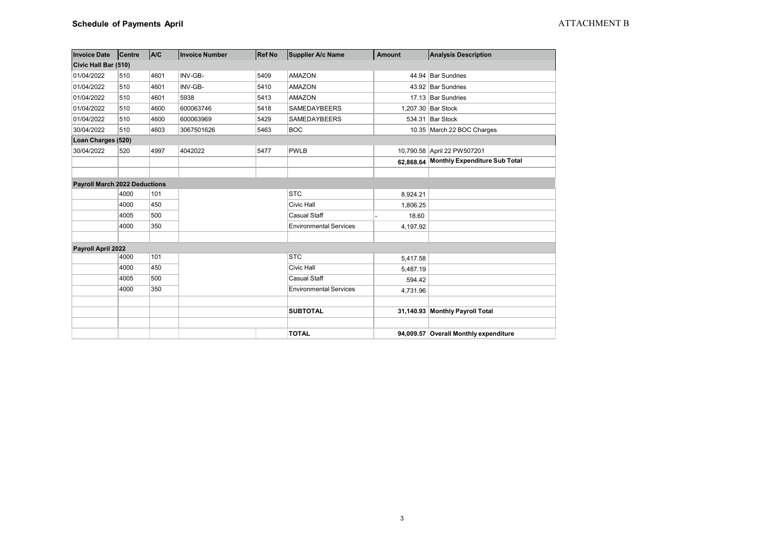| <b>Invoice Date</b>                  | Centre | <b>A/C</b> | <b>Invoice Number</b> | <b>Ref No</b> | <b>Supplier A/c Name</b>      | Amount   | <b>Analysis Description</b>             |
|--------------------------------------|--------|------------|-----------------------|---------------|-------------------------------|----------|-----------------------------------------|
| Civic Hall Bar (510)                 |        |            |                       |               |                               |          |                                         |
| 01/04/2022                           | 510    | 4601       | INV-GB-               | 5409          | <b>AMAZON</b>                 |          | 44.94 Bar Sundries                      |
| 01/04/2022                           | 510    | 4601       | INV-GB-               | 5410          | <b>AMAZON</b>                 |          | 43.92 Bar Sundries                      |
| 01/04/2022                           | 510    | 4601       | 5938                  | 5413          | <b>AMAZON</b>                 |          | 17.13 Bar Sundries                      |
| 01/04/2022                           | 510    | 4600       | 600063746             | 5418          | <b>SAMEDAYBEERS</b>           |          | 1.207.30 Bar Stock                      |
| 01/04/2022                           | 510    | 4600       | 600063969             | 5429          | <b>SAMEDAYBEERS</b>           |          | 534.31 Bar Stock                        |
| 30/04/2022                           | 510    | 4603       | 3067501626            | 5463          | <b>BOC</b>                    |          | 10.35 March 22 BOC Charges              |
| Loan Charges (520)                   |        |            |                       |               |                               |          |                                         |
| 30/04/2022                           | 520    | 4997       | 4042022               | 5477          | <b>PWLB</b>                   |          | 10,790.58 April 22 PW507201             |
|                                      |        |            |                       |               |                               |          | 62,868.64 Monthly Expenditure Sub Total |
|                                      |        |            |                       |               |                               |          |                                         |
| <b>Payroll March 2022 Deductions</b> |        |            |                       |               |                               |          |                                         |
|                                      | 4000   | 101        |                       |               | <b>STC</b>                    | 8,924.21 |                                         |
|                                      | 4000   | 450        |                       |               | Civic Hall                    | 1,806.25 |                                         |
|                                      | 4005   | 500        |                       |               | <b>Casual Staff</b>           | 18.60    |                                         |
|                                      | 4000   | 350        |                       |               | <b>Environmental Services</b> | 4,197.92 |                                         |
|                                      |        |            |                       |               |                               |          |                                         |
| Payroll April 2022                   |        |            |                       |               |                               |          |                                         |
|                                      | 4000   | 101        |                       |               | <b>STC</b>                    | 5,417.58 |                                         |
|                                      | 4000   | 450        |                       |               | Civic Hall                    | 5,487.19 |                                         |
|                                      | 4005   | 500        |                       |               | <b>Casual Staff</b>           | 594.42   |                                         |
|                                      | 4000   | 350        |                       |               | <b>Environmental Services</b> | 4,731.96 |                                         |
|                                      |        |            |                       |               |                               |          |                                         |
|                                      |        |            |                       |               | <b>SUBTOTAL</b>               |          | 31,140.93 Monthly Payroll Total         |
|                                      |        |            |                       |               |                               |          |                                         |
|                                      |        |            |                       |               | <b>TOTAL</b>                  |          | 94,009.57 Overall Monthly expenditure   |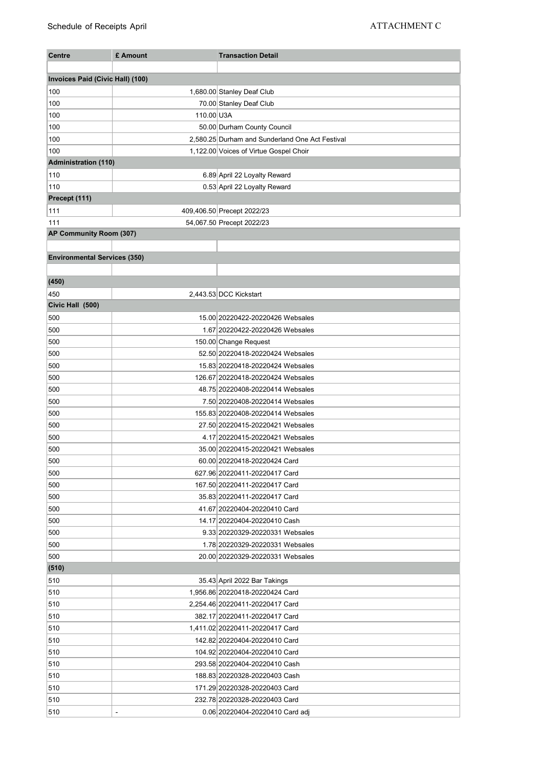| <b>Centre</b>                       | £ Amount   | <b>Transaction Detail</b>                       |
|-------------------------------------|------------|-------------------------------------------------|
|                                     |            |                                                 |
| Invoices Paid (Civic Hall) (100)    |            |                                                 |
| 100                                 |            | 1,680.00 Stanley Deaf Club                      |
| 100                                 |            | 70.00 Stanley Deaf Club                         |
| 100                                 | 110.00 U3A |                                                 |
| 100                                 |            | 50.00 Durham County Council                     |
| 100                                 |            | 2,580.25 Durham and Sunderland One Act Festival |
| 100                                 |            | 1,122.00 Voices of Virtue Gospel Choir          |
| <b>Administration (110)</b>         |            |                                                 |
| 110                                 |            | 6.89 April 22 Loyalty Reward                    |
| 110                                 |            | 0.53 April 22 Loyalty Reward                    |
| Precept (111)                       |            |                                                 |
| 111                                 |            | 409,406.50 Precept 2022/23                      |
| 111                                 |            | 54,067.50 Precept 2022/23                       |
| AP Community Room (307)             |            |                                                 |
|                                     |            |                                                 |
| <b>Environmental Services (350)</b> |            |                                                 |
|                                     |            |                                                 |
| (450)                               |            |                                                 |
| 450                                 |            | 2,443.53 DCC Kickstart                          |
| Civic Hall (500)                    |            |                                                 |
| 500                                 |            | 15.00 20220422-20220426 Websales                |
| 500                                 |            | 1.67 20220422-20220426 Websales                 |
| 500                                 |            | 150.00 Change Request                           |
| 500                                 |            | 52.50 20220418-20220424 Websales                |
| 500                                 |            | 15.83 20220418-20220424 Websales                |
| 500                                 |            | 126.67 20220418-20220424 Websales               |
| 500                                 |            | 48.75 20220408-20220414 Websales                |
| 500                                 |            | 7.50 20220408-20220414 Websales                 |
| 500                                 |            | 155.83 20220408-20220414 Websales               |
| 500                                 |            | 27.50 20220415-20220421 Websales                |
| 500                                 |            | 4.17 20220415-20220421 Websales                 |
| 500                                 |            | 35.00 20220415-20220421 Websales                |
| 500                                 |            | 60.00 20220418-20220424 Card                    |
| 500                                 |            | 627.96 20220411-20220417 Card                   |
| 500                                 |            | 167.50 20220411-20220417 Card                   |
| 500                                 |            | 35.83 20220411-20220417 Card                    |
| 500                                 |            | 41.67 20220404-20220410 Card                    |
| 500                                 |            | 14.17 20220404-20220410 Cash                    |
| 500                                 |            | 9.33 20220329-20220331 Websales                 |
| 500                                 |            | 1.78 20220329-20220331 Websales                 |
| 500                                 |            | 20.00 20220329-20220331 Websales                |
| (510)                               |            |                                                 |
| 510                                 |            | 35.43 April 2022 Bar Takings                    |
| 510                                 |            | 1,956.86 20220418-20220424 Card                 |
| 510                                 |            | 2,254.46 20220411-20220417 Card                 |
| 510                                 |            | 382.17 20220411-20220417 Card                   |
| 510                                 |            | 1,411.02 20220411-20220417 Card                 |
| 510                                 |            | 142.82 20220404-20220410 Card                   |
| 510                                 |            | 104.92 20220404-20220410 Card                   |
| 510                                 |            | 293.58 20220404-20220410 Cash                   |
| 510                                 |            | 188.83 20220328-20220403 Cash                   |
| 510                                 |            | 171.29 20220328-20220403 Card                   |
| 510                                 |            | 232.78 20220328-20220403 Card                   |
| 510                                 |            | 0.06 20220404-20220410 Card adj                 |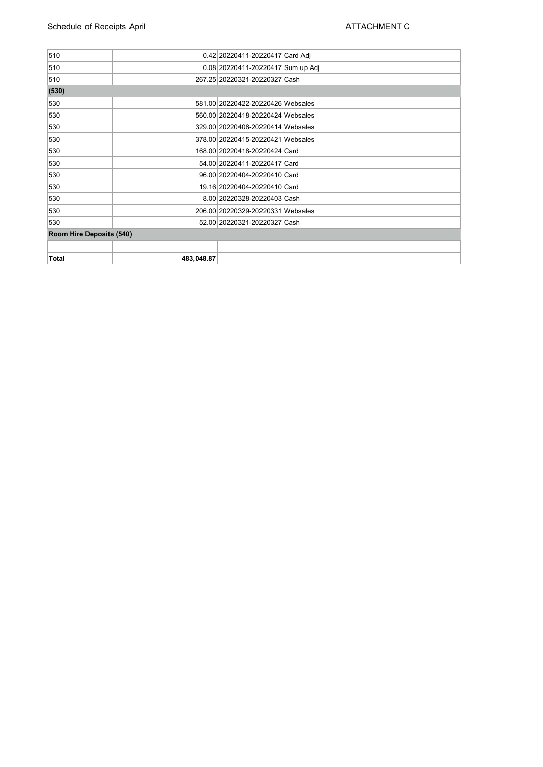| 510                             |            | 0.42 20220411-20220417 Card Adj   |  |  |  |
|---------------------------------|------------|-----------------------------------|--|--|--|
| 510                             |            | 0.08 20220411-20220417 Sum up Adj |  |  |  |
| 510                             |            | 267.25 20220321-20220327 Cash     |  |  |  |
| (530)                           |            |                                   |  |  |  |
| 530                             |            | 581.00 20220422-20220426 Websales |  |  |  |
| 530                             |            | 560.00 20220418-20220424 Websales |  |  |  |
| 530                             |            | 329.00 20220408-20220414 Websales |  |  |  |
| 530                             |            | 378.00 20220415-20220421 Websales |  |  |  |
| 530                             |            | 168.00 20220418-20220424 Card     |  |  |  |
| 530                             |            | 54.00 20220411-20220417 Card      |  |  |  |
| 530                             |            | 96.00 20220404-20220410 Card      |  |  |  |
| 530                             |            | 19.16 20220404-20220410 Card      |  |  |  |
| 530                             |            | 8.00 20220328-20220403 Cash       |  |  |  |
| 530                             |            | 206.00 20220329-20220331 Websales |  |  |  |
| 530                             |            | 52.00 20220321-20220327 Cash      |  |  |  |
| <b>Room Hire Deposits (540)</b> |            |                                   |  |  |  |
|                                 |            |                                   |  |  |  |
| <b>Total</b>                    | 483.048.87 |                                   |  |  |  |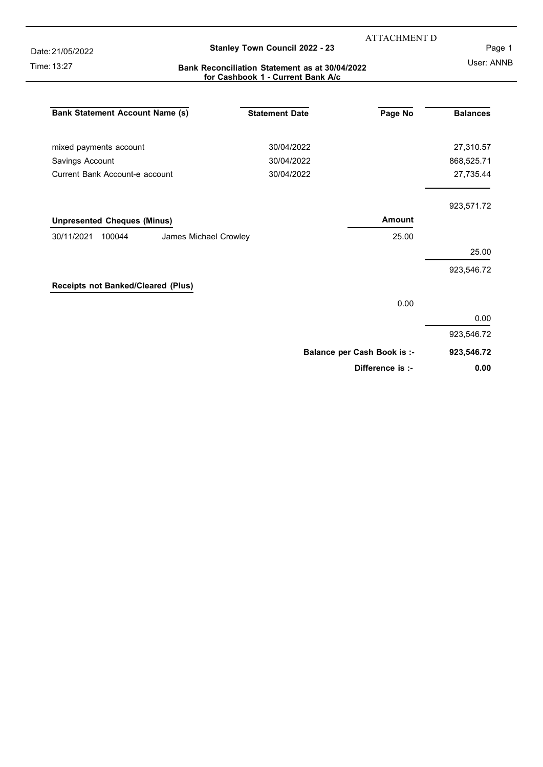Date: 21/05/2022

Time: 13:27

#### **Stanley Town Council 2022 - 23**

ATTACHMENT D

Page 1

#### **Bank Reconciliation Statement as at 30/04/2022 for Cashbook 1 - Current Bank A/c**

User: ANNB

| <b>Bank Statement Account Name (s)</b>        | <b>Statement Date</b> | Page No                            | <b>Balances</b> |
|-----------------------------------------------|-----------------------|------------------------------------|-----------------|
| mixed payments account                        | 30/04/2022            |                                    | 27,310.57       |
| Savings Account                               | 30/04/2022            |                                    | 868,525.71      |
| Current Bank Account-e account                | 30/04/2022            |                                    | 27,735.44       |
|                                               |                       |                                    | 923,571.72      |
| <b>Unpresented Cheques (Minus)</b>            |                       | Amount                             |                 |
| 30/11/2021<br>100044<br>James Michael Crowley |                       | 25.00                              |                 |
|                                               |                       |                                    | 25.00           |
|                                               |                       |                                    | 923,546.72      |
| Receipts not Banked/Cleared (Plus)            |                       |                                    |                 |
|                                               |                       | 0.00                               |                 |
|                                               |                       |                                    | 0.00            |
|                                               |                       |                                    | 923,546.72      |
|                                               |                       | <b>Balance per Cash Book is :-</b> | 923,546.72      |
|                                               |                       | Difference is :-                   | 0.00            |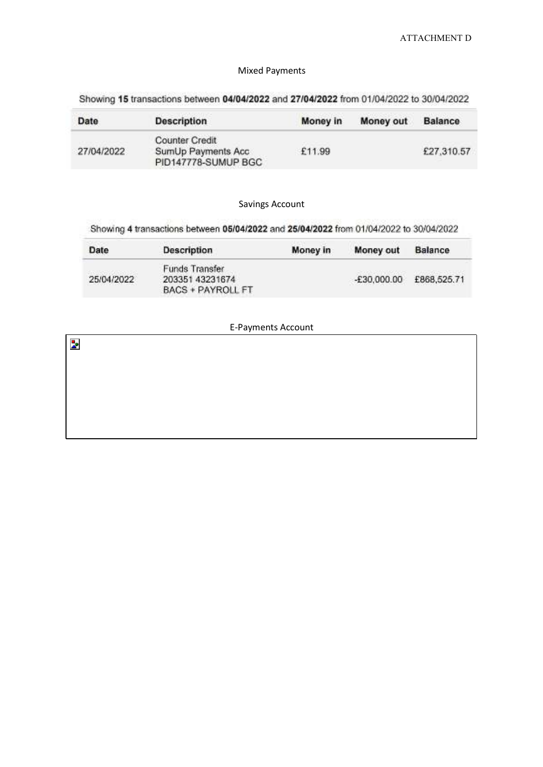#### Mixed Payments

Showing 15 transactions between 04/04/2022 and 27/04/2022 from 01/04/2022 to 30/04/2022

| Date       | <b>Description</b>                                                 | Money in | Money out | <b>Balance</b> |
|------------|--------------------------------------------------------------------|----------|-----------|----------------|
| 27/04/2022 | <b>Counter Credit</b><br>SumUp Payments Acc<br>PID147778-SUMUP BGC | £11.99   |           | £27,310.57     |

#### Savings Account

Showing 4 transactions between 05/04/2022 and 25/04/2022 from 01/04/2022 to 30/04/2022

| Date       | Description                                                   | Money in | Money out     | Balance     |
|------------|---------------------------------------------------------------|----------|---------------|-------------|
| 25/04/2022 | Funds Transfer<br>203351 43231674<br><b>BACS + PAYROLL FT</b> |          | $-£30,000.00$ | £868,525.71 |

#### E-Payments Account

| L Layments Account |  |  |  |  |  |  |  |
|--------------------|--|--|--|--|--|--|--|
| $\mathbf{z}$       |  |  |  |  |  |  |  |
|                    |  |  |  |  |  |  |  |
|                    |  |  |  |  |  |  |  |
|                    |  |  |  |  |  |  |  |
|                    |  |  |  |  |  |  |  |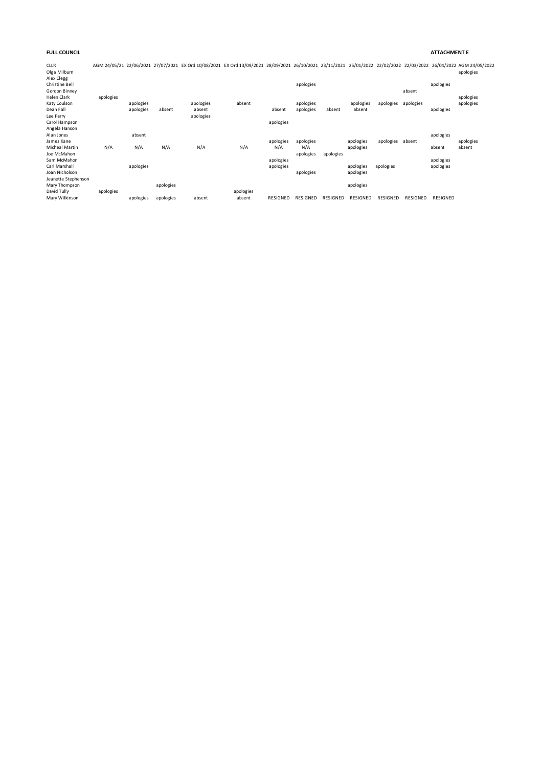#### **FULL COUNCIL ATTACHMENT E**

CLLR AGM 24/05/21 22/06/2021 27/07/2021 EX Ord 10/08/2021 EX Ord 13/09/2021 28/09/2021 26/10/2021 23/11/2021 25/01/2022 22/02/2022 22/03/2022 26/04/2022 AGM 24/05/2022 Olga Milburn apologies

| Alex Clegg<br>Christine Bell<br>Gordon Binney                                        |           |                        |                        |                                  |                     |                        | apologies              |           |                        |           | absent    | apologies              |                        |
|--------------------------------------------------------------------------------------|-----------|------------------------|------------------------|----------------------------------|---------------------|------------------------|------------------------|-----------|------------------------|-----------|-----------|------------------------|------------------------|
| <b>Helen Clark</b><br>Katy Coulson<br>Dean Fall<br>Lee Ferry<br>Carol Hampson        | apologies | apologies<br>apologies | absent                 | apologies<br>absent<br>apologies | absent              | absent<br>apologies    | apologies<br>apologies | absent    | apologies<br>absent    | apologies | apologies | apologies              | apologies<br>apologies |
| Angela Hanson<br>Alan Jones<br>James Kane<br>Micheal Martin                          | N/A       | absent<br>N/A          | N/A                    | N/A                              | N/A                 | apologies<br>N/A       | apologies<br>N/A       |           | apologies<br>apologies | apologies | absent    | apologies<br>absent    | apologies<br>absent    |
| Joe McMahon<br>Sam McMahon<br>Carl Marshall<br>Joan Nicholson<br>Jeanette Stephenson |           | apologies              |                        |                                  |                     | apologies<br>apologies | apologies<br>apologies | apologies | apologies<br>apologies | apologies |           | apologies<br>apologies |                        |
| Mary Thompson<br>David Tully<br>Mary Wilkinson                                       | apologies | apologies              | apologies<br>apologies | absent                           | apologies<br>absent | RESIGNED               | <b>RESIGNED</b>        | RESIGNED  | apologies<br>RESIGNED  | RESIGNED  | RESIGNED  | RESIGNED               |                        |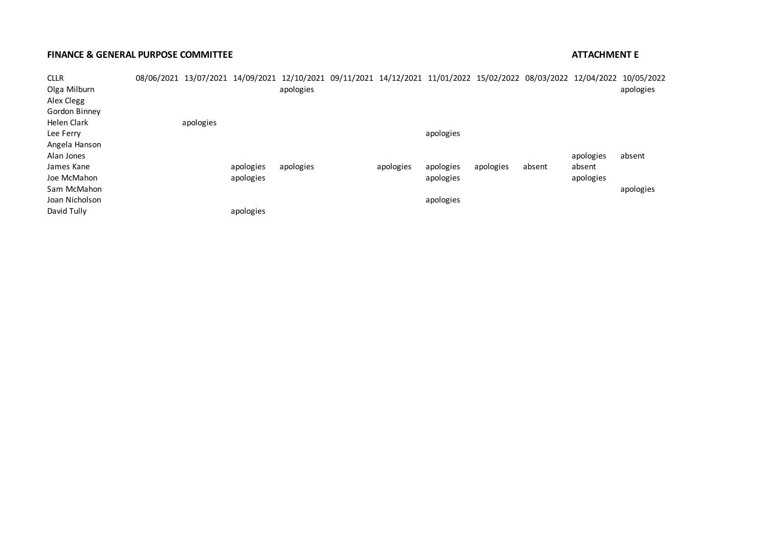#### **FINANCE & GENERAL PURPOSE COMMITTEE ATTACHMENT E**

| <b>CLLR</b>        |           |           | 08/06/2021 13/07/2021 14/09/2021 12/10/2021 09/11/2021 14/12/2021 11/01/2022 15/02/2022 08/03/2022 12/04/2022 10/05/2022 |           |           |           |        |           |           |
|--------------------|-----------|-----------|--------------------------------------------------------------------------------------------------------------------------|-----------|-----------|-----------|--------|-----------|-----------|
| Olga Milburn       |           |           | apologies                                                                                                                |           |           |           |        |           | apologies |
| Alex Clegg         |           |           |                                                                                                                          |           |           |           |        |           |           |
| Gordon Binney      |           |           |                                                                                                                          |           |           |           |        |           |           |
| <b>Helen Clark</b> | apologies |           |                                                                                                                          |           |           |           |        |           |           |
| Lee Ferry          |           |           |                                                                                                                          |           | apologies |           |        |           |           |
| Angela Hanson      |           |           |                                                                                                                          |           |           |           |        |           |           |
| Alan Jones         |           |           |                                                                                                                          |           |           |           |        | apologies | absent    |
| James Kane         |           | apologies | apologies                                                                                                                | apologies | apologies | apologies | absent | absent    |           |
| Joe McMahon        |           | apologies |                                                                                                                          |           | apologies |           |        | apologies |           |
| Sam McMahon        |           |           |                                                                                                                          |           |           |           |        |           | apologies |
| Joan Nicholson     |           |           |                                                                                                                          |           | apologies |           |        |           |           |
| David Tully        |           | apologies |                                                                                                                          |           |           |           |        |           |           |
|                    |           |           |                                                                                                                          |           |           |           |        |           |           |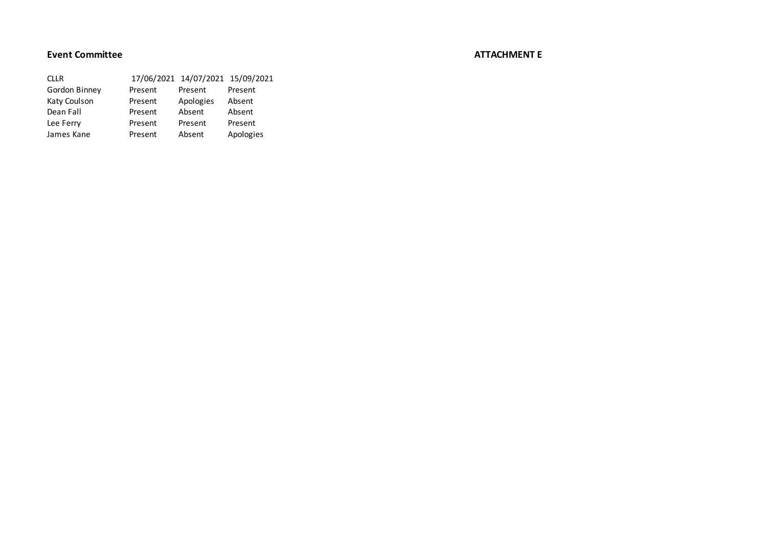#### **Event Committee ATTACHMENT E**

| <b>CILR</b>   |         | 17/06/2021 14/07/2021 15/09/2021 |           |
|---------------|---------|----------------------------------|-----------|
| Gordon Binney | Present | Present                          | Present   |
| Katy Coulson  | Present | Apologies                        | Absent    |
| Dean Fall     | Present | Absent                           | Absent    |
| Lee Ferry     | Present | Present                          | Present   |
| James Kane    | Present | Absent                           | Apologies |